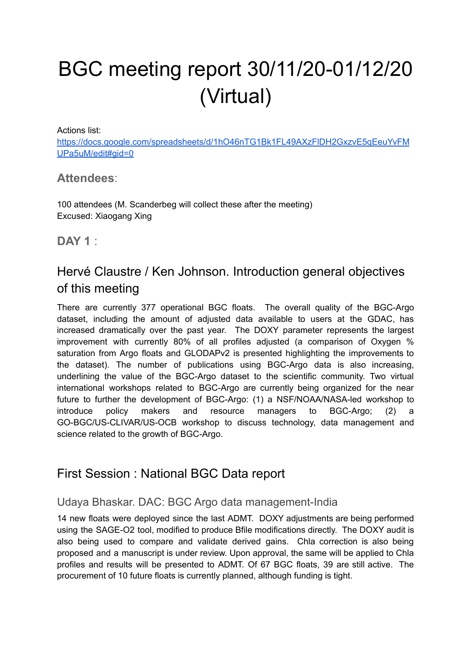# BGC meeting report 30/11/20-01/12/20 (Virtual)

Actions list:

[https://docs.google.com/spreadsheets/d/1hO46nTG1Bk1FL49AXzFlDH2GxzvE5qEeuYvFM](https://docs.google.com/spreadsheets/d/1hO46nTG1Bk1FL49AXzFlDH2GxzvE5qEeuYvFMUPa5uM/edit#gid=0) [UPa5uM/edit#gid=0](https://docs.google.com/spreadsheets/d/1hO46nTG1Bk1FL49AXzFlDH2GxzvE5qEeuYvFMUPa5uM/edit#gid=0)

#### **Attendees**:

100 attendees (M. Scanderbeg will collect these after the meeting) Excused: Xiaogang Xing

**DAY 1** :

# Hervé Claustre / Ken Johnson. Introduction general objectives of this meeting

There are currently 377 operational BGC floats. The overall quality of the BGC-Argo dataset, including the amount of adjusted data available to users at the GDAC, has increased dramatically over the past year. The DOXY parameter represents the largest improvement with currently 80% of all profiles adjusted (a comparison of Oxygen % saturation from Argo floats and GLODAPv2 is presented highlighting the improvements to the dataset). The number of publications using BGC-Argo data is also increasing, underlining the value of the BGC-Argo dataset to the scientific community. Two virtual international workshops related to BGC-Argo are currently being organized for the near future to further the development of BGC-Argo: (1) a NSF/NOAA/NASA-led workshop to introduce policy makers and resource managers to BGC-Argo; (2) a GO-BGC/US-CLIVAR/US-OCB workshop to discuss technology, data management and science related to the growth of BGC-Argo.

# First Session : National BGC Data report

## Udaya Bhaskar. DAC: BGC Argo data management-India

14 new floats were deployed since the last ADMT. DOXY adjustments are being performed using the SAGE-O2 tool, modified to produce Bfile modifications directly. The DOXY audit is also being used to compare and validate derived gains. Chla correction is also being proposed and a manuscript is under review. Upon approval, the same will be applied to Chla profiles and results will be presented to ADMT. Of 67 BGC floats, 39 are still active. The procurement of 10 future floats is currently planned, although funding is tight.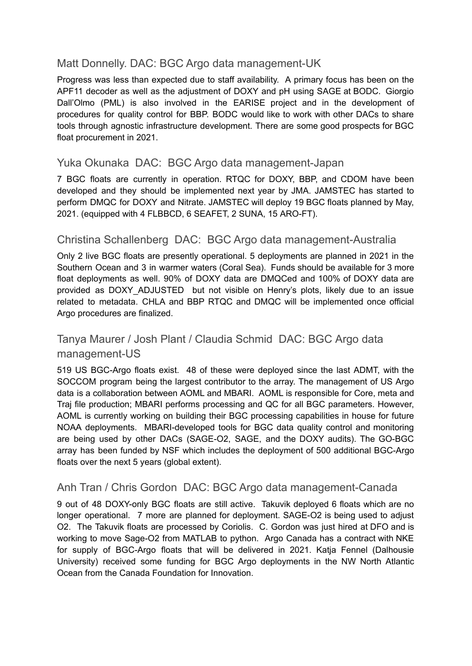#### Matt Donnelly. DAC: BGC Argo data management-UK

Progress was less than expected due to staff availability. A primary focus has been on the APF11 decoder as well as the adjustment of DOXY and pH using SAGE at BODC. Giorgio Dall'Olmo (PML) is also involved in the EARISE project and in the development of procedures for quality control for BBP. BODC would like to work with other DACs to share tools through agnostic infrastructure development. There are some good prospects for BGC float procurement in 2021.

#### Yuka Okunaka DAC: BGC Argo data management-Japan

7 BGC floats are currently in operation. RTQC for DOXY, BBP, and CDOM have been developed and they should be implemented next year by JMA. JAMSTEC has started to perform DMQC for DOXY and Nitrate. JAMSTEC will deploy 19 BGC floats planned by May, 2021. (equipped with 4 FLBBCD, 6 SEAFET, 2 SUNA, 15 ARO-FT).

#### Christina Schallenberg DAC: BGC Argo data management-Australia

Only 2 live BGC floats are presently operational. 5 deployments are planned in 2021 in the Southern Ocean and 3 in warmer waters (Coral Sea). Funds should be available for 3 more float deployments as well. 90% of DOXY data are DMQCed and 100% of DOXY data are provided as DOXY ADJUSTED but not visible on Henry's plots, likely due to an issue related to metadata. CHLA and BBP RTQC and DMQC will be implemented once official Argo procedures are finalized.

## Tanya Maurer / Josh Plant / Claudia Schmid DAC: BGC Argo data management-US

519 US BGC-Argo floats exist. 48 of these were deployed since the last ADMT, with the SOCCOM program being the largest contributor to the array. The management of US Argo data is a collaboration between AOML and MBARI. AOML is responsible for Core, meta and Traj file production; MBARI performs processing and QC for all BGC parameters. However, AOML is currently working on building their BGC processing capabilities in house for future NOAA deployments. MBARI-developed tools for BGC data quality control and monitoring are being used by other DACs (SAGE-O2, SAGE, and the DOXY audits). The GO-BGC array has been funded by NSF which includes the deployment of 500 additional BGC-Argo floats over the next 5 years (global extent).

## Anh Tran / Chris Gordon DAC: BGC Argo data management-Canada

9 out of 48 DOXY-only BGC floats are still active. Takuvik deployed 6 floats which are no longer operational. 7 more are planned for deployment. SAGE-O2 is being used to adjust O2. The Takuvik floats are processed by Coriolis. C. Gordon was just hired at DFO and is working to move Sage-O2 from MATLAB to python. Argo Canada has a contract with NKE for supply of BGC-Argo floats that will be delivered in 2021. Katia Fennel (Dalhousie University) received some funding for BGC Argo deployments in the NW North Atlantic Ocean from the Canada Foundation for Innovation.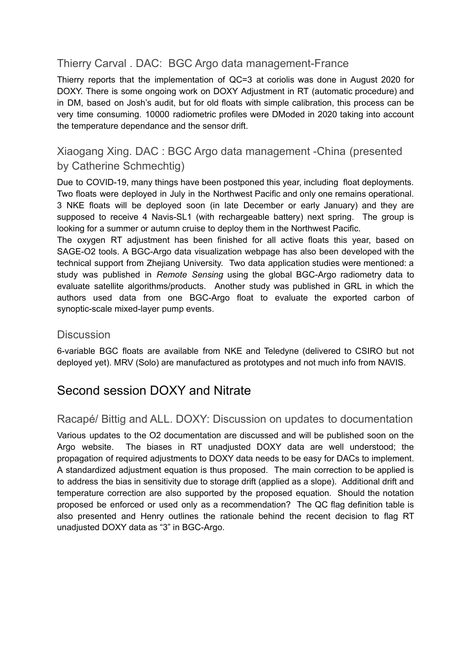## Thierry Carval . DAC: BGC Argo data management-France

Thierry reports that the implementation of QC=3 at coriolis was done in August 2020 for DOXY. There is some ongoing work on DOXY Adjustment in RT (automatic procedure) and in DM, based on Josh's audit, but for old floats with simple calibration, this process can be very time consuming. 10000 radiometric profiles were DModed in 2020 taking into account the temperature dependance and the sensor drift.

## Xiaogang Xing. DAC : BGC Argo data management -China (presented by Catherine Schmechtig)

Due to COVID-19, many things have been postponed this year, including float deployments. Two floats were deployed in July in the Northwest Pacific and only one remains operational. 3 NKE floats will be deployed soon (in late December or early January) and they are supposed to receive 4 Navis-SL1 (with rechargeable battery) next spring. The group is looking for a summer or autumn cruise to deploy them in the Northwest Pacific.

The oxygen RT adjustment has been finished for all active floats this year, based on SAGE-O2 tools. A BGC-Argo data visualization webpage has also been developed with the technical support from Zhejiang University. Two data application studies were mentioned: a study was published in *Remote Sensing* using the global BGC-Argo radiometry data to evaluate satellite algorithms/products. Another study was published in GRL in which the authors used data from one BGC-Argo float to evaluate the exported carbon of synoptic-scale mixed-layer pump events.

#### **Discussion**

6-variable BGC floats are available from NKE and Teledyne (delivered to CSIRO but not deployed yet). MRV (Solo) are manufactured as prototypes and not much info from NAVIS.

# Second session DOXY and Nitrate

#### Racapé/ Bittig and ALL. DOXY: Discussion on updates to documentation

Various updates to the O2 documentation are discussed and will be published soon on the Argo website. The biases in RT unadjusted DOXY data are well understood; the propagation of required adjustments to DOXY data needs to be easy for DACs to implement. A standardized adjustment equation is thus proposed. The main correction to be applied is to address the bias in sensitivity due to storage drift (applied as a slope). Additional drift and temperature correction are also supported by the proposed equation. Should the notation proposed be enforced or used only as a recommendation? The QC flag definition table is also presented and Henry outlines the rationale behind the recent decision to flag RT unadjusted DOXY data as "3" in BGC-Argo.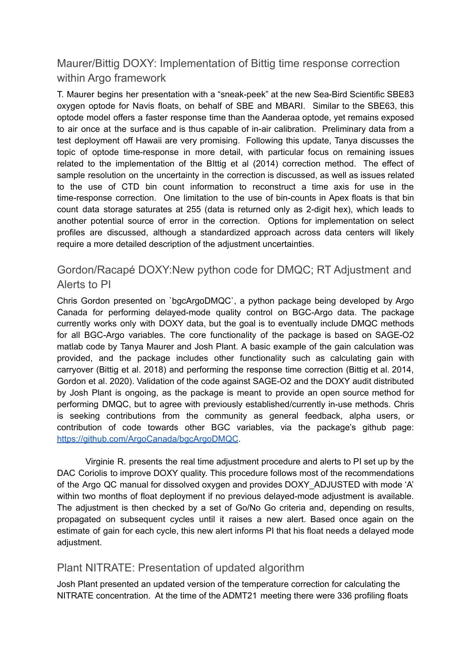## Maurer/Bittig DOXY: Implementation of Bittig time response correction within Argo framework

T. Maurer begins her presentation with a "sneak-peek" at the new Sea-Bird Scientific SBE83 oxygen optode for Navis floats, on behalf of SBE and MBARI. Similar to the SBE63, this optode model offers a faster response time than the Aanderaa optode, yet remains exposed to air once at the surface and is thus capable of in-air calibration. Preliminary data from a test deployment off Hawaii are very promising. Following this update, Tanya discusses the topic of optode time-response in more detail, with particular focus on remaining issues related to the implementation of the BIttig et al (2014) correction method. The effect of sample resolution on the uncertainty in the correction is discussed, as well as issues related to the use of CTD bin count information to reconstruct a time axis for use in the time-response correction. One limitation to the use of bin-counts in Apex floats is that bin count data storage saturates at 255 (data is returned only as 2-digit hex), which leads to another potential source of error in the correction. Options for implementation on select profiles are discussed, although a standardized approach across data centers will likely require a more detailed description of the adjustment uncertainties.

#### Gordon/Racapé DOXY:New python code for DMQC; RT Adjustment and Alerts to PI

Chris Gordon presented on `bgcArgoDMQC`, a python package being developed by Argo Canada for performing delayed-mode quality control on BGC-Argo data. The package currently works only with DOXY data, but the goal is to eventually include DMQC methods for all BGC-Argo variables. The core functionality of the package is based on SAGE-O2 matlab code by Tanya Maurer and Josh Plant. A basic example of the gain calculation was provided, and the package includes other functionality such as calculating gain with carryover (Bittig et al. 2018) and performing the response time correction (Bittig et al. 2014, Gordon et al. 2020). Validation of the code against SAGE-O2 and the DOXY audit distributed by Josh Plant is ongoing, as the package is meant to provide an open source method for performing DMQC, but to agree with previously established/currently in-use methods. Chris is seeking contributions from the community as general feedback, alpha users, or contribution of code towards other BGC variables, via the package's github page: <https://github.com/ArgoCanada/bgcArgoDMQC>.

Virginie R. presents the real time adjustment procedure and alerts to PI set up by the DAC Coriolis to improve DOXY quality. This procedure follows most of the recommendations of the Argo QC manual for dissolved oxygen and provides DOXY\_ADJUSTED with mode 'A' within two months of float deployment if no previous delayed-mode adjustment is available. The adjustment is then checked by a set of Go/No Go criteria and, depending on results, propagated on subsequent cycles until it raises a new alert. Based once again on the estimate of gain for each cycle, this new alert informs PI that his float needs a delayed mode adjustment.

#### Plant NITRATE: Presentation of updated algorithm

Josh Plant presented an updated version of the temperature correction for calculating the NITRATE concentration. At the time of the ADMT21 meeting there were 336 profiling floats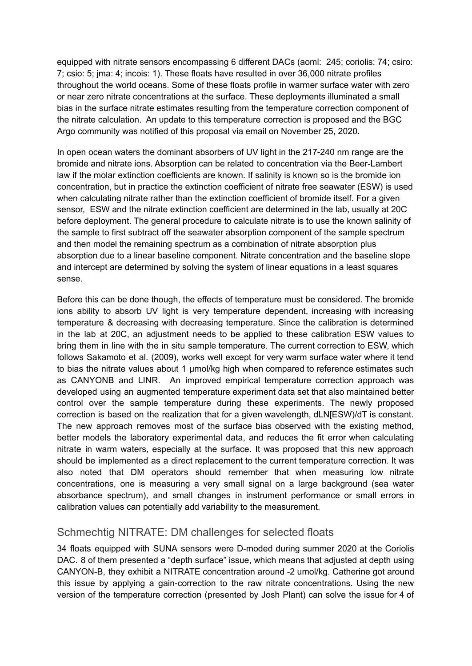equipped with nitrate sensors encompassing 6 different DACs (aoml: 245; coriolis: 74; csiro: 7; csio: 5; jma: 4; incois: 1). These floats have resulted in over 36,000 nitrate profiles throughout the world oceans. Some of these floats profile in warmer surface water with zero or near zero nitrate concentrations at the surface. These deployments illuminated a small bias in the surface nitrate estimates resulting from the temperature correction component of the nitrate calculation. An update to this temperature correction is proposed and the BGC Argo community was notified of this proposal via email on November 25, 2020.

In open ocean waters the dominant absorbers of UV light in the 217-240 nm range are the bromide and nitrate ions. Absorption can be related to concentration via the Beer-Lambert law if the molar extinction coefficients are known. If salinity is known so is the bromide ion concentration, but in practice the extinction coefficient of nitrate free seawater (ESW) is used when calculating nitrate rather than the extinction coefficient of bromide itself. For a given sensor, ESW and the nitrate extinction coefficient are determined in the lab, usually at 20C before deployment. The general procedure to calculate nitrate is to use the known salinity of the sample to first subtract off the seawater absorption component of the sample spectrum and then model the remaining spectrum as a combination of nitrate absorption plus absorption due to a linear baseline component. Nitrate concentration and the baseline slope and intercept are determined by solving the system of linear equations in a least squares sense.

Before this can be done though, the effects of temperature must be considered. The bromide ions ability to absorb UV light is very temperature dependent, increasing with increasing temperature & decreasing with decreasing temperature. Since the calibration is determined in the lab at 20C, an adjustment needs to be applied to these calibration ESW values to bring them in line with the in situ sample temperature. The current correction to ESW, which follows Sakamoto et al. (2009), works well except for very warm surface water where it tend to bias the nitrate values about 1 µmol/kg high when compared to reference estimates such as CANYONB and LINR. An improved empirical temperature correction approach was developed using an augmented temperature experiment data set that also maintained better control over the sample temperature during these experiments. The newly proposed correction is based on the realization that for a given wavelength, dLN[ESW)/dT is constant. The new approach removes most of the surface bias observed with the existing method, better models the laboratory experimental data, and reduces the fit error when calculating nitrate in warm waters, especially at the surface. It was proposed that this new approach should be implemented as a direct replacement to the current temperature correction. It was also noted that DM operators should remember that when measuring low nitrate concentrations, one is measuring a very small signal on a large background (sea water absorbance spectrum), and small changes in instrument performance or small errors in calibration values can potentially add variability to the measurement.

#### Schmechtig NITRATE: DM challenges for selected floats

34 floats equipped with SUNA sensors were D-moded during summer 2020 at the Coriolis DAC. 8 of them presented a "depth surface" issue, which means that adjusted at depth using CANYON-B, they exhibit a NITRATE concentration around -2 umol/kg. Catherine got around this issue by applying a gain-correction to the raw nitrate concentrations. Using the new version of the temperature correction (presented by Josh Plant) can solve the issue for 4 of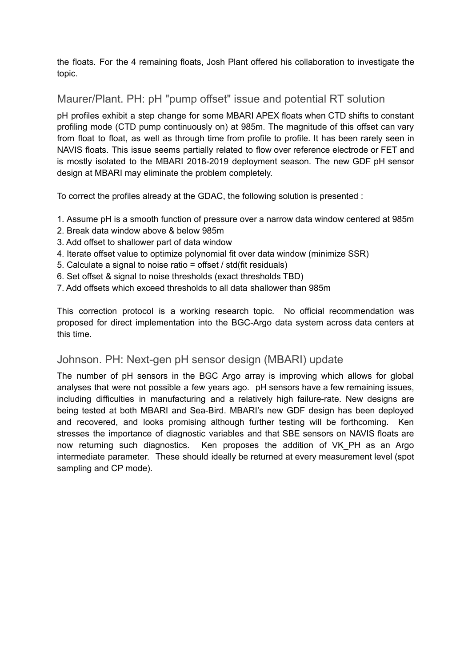the floats. For the 4 remaining floats, Josh Plant offered his collaboration to investigate the topic.

## Maurer/Plant. PH: pH "pump offset" issue and potential RT solution

pH profiles exhibit a step change for some MBARI APEX floats when CTD shifts to constant profiling mode (CTD pump continuously on) at 985m. The magnitude of this offset can vary from float to float, as well as through time from profile to profile. It has been rarely seen in NAVIS floats. This issue seems partially related to flow over reference electrode or FET and is mostly isolated to the MBARI 2018-2019 deployment season. The new GDF pH sensor design at MBARI may eliminate the problem completely.

To correct the profiles already at the GDAC, the following solution is presented :

- 1. Assume pH is a smooth function of pressure over a narrow data window centered at 985m
- 2. Break data window above & below 985m
- 3. Add offset to shallower part of data window
- 4. Iterate offset value to optimize polynomial fit over data window (minimize SSR)
- 5. Calculate a signal to noise ratio = offset / std(fit residuals)
- 6. Set offset & signal to noise thresholds (exact thresholds TBD)
- 7. Add offsets which exceed thresholds to all data shallower than 985m

This correction protocol is a working research topic. No official recommendation was proposed for direct implementation into the BGC-Argo data system across data centers at this time.

#### Johnson. PH: Next-gen pH sensor design (MBARI) update

The number of pH sensors in the BGC Argo array is improving which allows for global analyses that were not possible a few years ago. pH sensors have a few remaining issues, including difficulties in manufacturing and a relatively high failure-rate. New designs are being tested at both MBARI and Sea-Bird. MBARI's new GDF design has been deployed and recovered, and looks promising although further testing will be forthcoming. Ken stresses the importance of diagnostic variables and that SBE sensors on NAVIS floats are now returning such diagnostics. Ken proposes the addition of VK\_PH as an Argo intermediate parameter. These should ideally be returned at every measurement level (spot sampling and CP mode).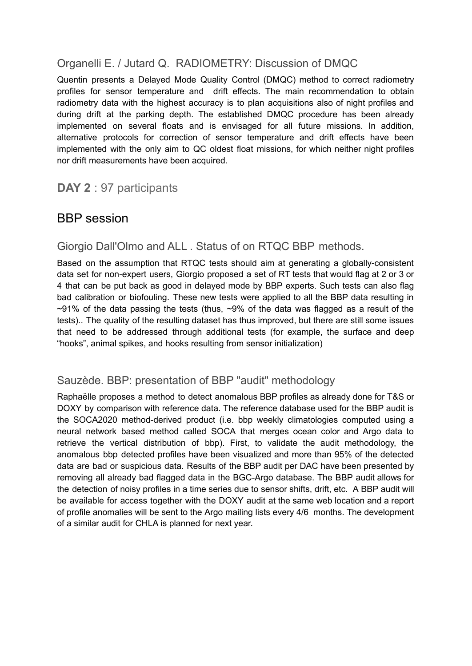## Organelli E. / Jutard Q. RADIOMETRY: Discussion of DMQC

Quentin presents a Delayed Mode Quality Control (DMQC) method to correct radiometry profiles for sensor temperature and drift effects. The main recommendation to obtain radiometry data with the highest accuracy is to plan acquisitions also of night profiles and during drift at the parking depth. The established DMQC procedure has been already implemented on several floats and is envisaged for all future missions. In addition, alternative protocols for correction of sensor temperature and drift effects have been implemented with the only aim to QC oldest float missions, for which neither night profiles nor drift measurements have been acquired.

# **DAY 2** : 97 participants

# BBP session

#### Giorgio Dall'Olmo and ALL . Status of on RTQC BBP methods.

Based on the assumption that RTQC tests should aim at generating a globally-consistent data set for non-expert users, Giorgio proposed a set of RT tests that would flag at 2 or 3 or 4 that can be put back as good in delayed mode by BBP experts. Such tests can also flag bad calibration or biofouling. These new tests were applied to all the BBP data resulting in  $\sim$ 91% of the data passing the tests (thus,  $\sim$ 9% of the data was flagged as a result of the tests).. The quality of the resulting dataset has thus improved, but there are still some issues that need to be addressed through additional tests (for example, the surface and deep "hooks", animal spikes, and hooks resulting from sensor initialization)

#### Sauzède. BBP: presentation of BBP "audit" methodology

Raphaëlle proposes a method to detect anomalous BBP profiles as already done for T&S or DOXY by comparison with reference data. The reference database used for the BBP audit is the SOCA2020 method-derived product (i.e. bbp weekly climatologies computed using a neural network based method called SOCA that merges ocean color and Argo data to retrieve the vertical distribution of bbp). First, to validate the audit methodology, the anomalous bbp detected profiles have been visualized and more than 95% of the detected data are bad or suspicious data. Results of the BBP audit per DAC have been presented by removing all already bad flagged data in the BGC-Argo database. The BBP audit allows for the detection of noisy profiles in a time series due to sensor shifts, drift, etc. A BBP audit will be available for access together with the DOXY audit at the same web location and a report of profile anomalies will be sent to the Argo mailing lists every 4/6 months. The development of a similar audit for CHLA is planned for next year.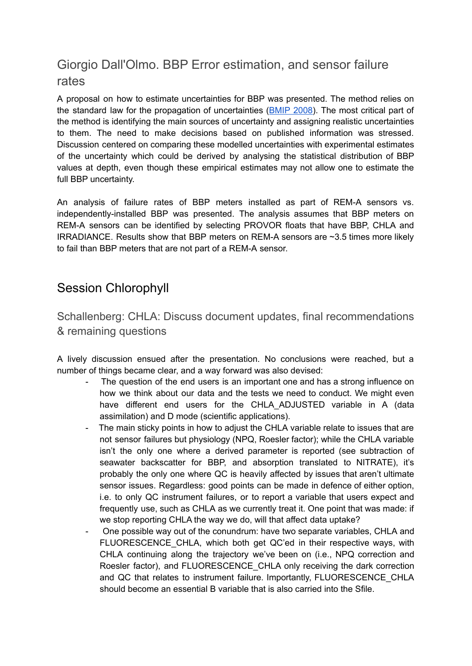# Giorgio Dall'Olmo. BBP Error estimation, and sensor failure rates

A proposal on how to estimate uncertainties for BBP was presented. The method relies on the standard law for the propagation of uncertainties ([BMIP](https://www.bipm.org/utils/common/documents/jcgm/JCGM_100_2008_E.pdf) 2008). The most critical part of the method is identifying the main sources of uncertainty and assigning realistic uncertainties to them. The need to make decisions based on published information was stressed. Discussion centered on comparing these modelled uncertainties with experimental estimates of the uncertainty which could be derived by analysing the statistical distribution of BBP values at depth, even though these empirical estimates may not allow one to estimate the full BBP uncertainty.

An analysis of failure rates of BBP meters installed as part of REM-A sensors vs. independently-installed BBP was presented. The analysis assumes that BBP meters on REM-A sensors can be identified by selecting PROVOR floats that have BBP, CHLA and IRRADIANCE. Results show that BBP meters on REM-A sensors are ~3.5 times more likely to fail than BBP meters that are not part of a REM-A sensor.

# Session Chlorophyll

Schallenberg: CHLA: Discuss document updates, final recommendations & remaining questions

A lively discussion ensued after the presentation. No conclusions were reached, but a number of things became clear, and a way forward was also devised:

- The question of the end users is an important one and has a strong influence on how we think about our data and the tests we need to conduct. We might even have different end users for the CHLA ADJUSTED variable in A (data assimilation) and D mode (scientific applications).
- The main sticky points in how to adjust the CHLA variable relate to issues that are not sensor failures but physiology (NPQ, Roesler factor); while the CHLA variable isn't the only one where a derived parameter is reported (see subtraction of seawater backscatter for BBP, and absorption translated to NITRATE), it's probably the only one where QC is heavily affected by issues that aren't ultimate sensor issues. Regardless: good points can be made in defence of either option, i.e. to only QC instrument failures, or to report a variable that users expect and frequently use, such as CHLA as we currently treat it. One point that was made: if we stop reporting CHLA the way we do, will that affect data uptake?
- One possible way out of the conundrum: have two separate variables, CHLA and FLUORESCENCE CHLA, which both get QC'ed in their respective ways, with CHLA continuing along the trajectory we've been on (i.e., NPQ correction and Roesler factor), and FLUORESCENCE\_CHLA only receiving the dark correction and QC that relates to instrument failure. Importantly, FLUORESCENCE\_CHLA should become an essential B variable that is also carried into the Sfile.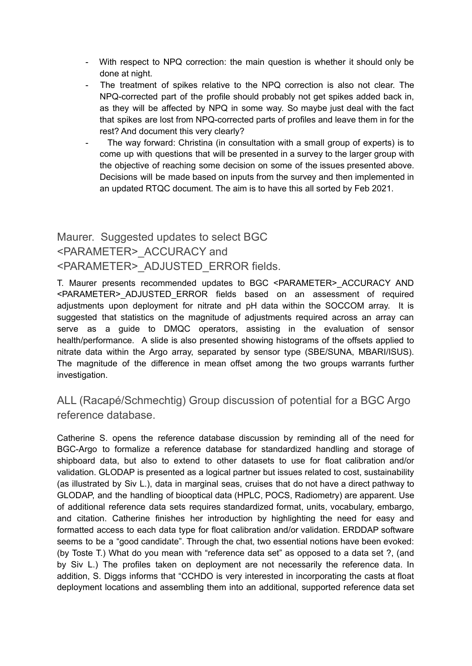- With respect to NPQ correction: the main question is whether it should only be done at night.
- The treatment of spikes relative to the NPQ correction is also not clear. The NPQ-corrected part of the profile should probably not get spikes added back in, as they will be affected by NPQ in some way. So maybe just deal with the fact that spikes are lost from NPQ-corrected parts of profiles and leave them in for the rest? And document this very clearly?
- The way forward: Christina (in consultation with a small group of experts) is to come up with questions that will be presented in a survey to the larger group with the objective of reaching some decision on some of the issues presented above. Decisions will be made based on inputs from the survey and then implemented in an updated RTQC document. The aim is to have this all sorted by Feb 2021.

# Maurer. Suggested updates to select BGC <PARAMETER>\_ACCURACY and <PARAMETER>\_ADJUSTED\_ERROR fields.

T. Maurer presents recommended updates to BGC <PARAMETER> ACCURACY AND <PARAMETER>\_ADJUSTED\_ERROR fields based on an assessment of required adjustments upon deployment for nitrate and pH data within the SOCCOM array. It is suggested that statistics on the magnitude of adjustments required across an array can serve as a guide to DMQC operators, assisting in the evaluation of sensor health/performance. A slide is also presented showing histograms of the offsets applied to nitrate data within the Argo array, separated by sensor type (SBE/SUNA, MBARI/ISUS). The magnitude of the difference in mean offset among the two groups warrants further investigation.

## ALL (Racapé/Schmechtig) Group discussion of potential for a BGC Argo reference database.

Catherine S. opens the reference database discussion by reminding all of the need for BGC-Argo to formalize a reference database for standardized handling and storage of shipboard data, but also to extend to other datasets to use for float calibration and/or validation. GLODAP is presented as a logical partner but issues related to cost, sustainability (as illustrated by Siv L.), data in marginal seas, cruises that do not have a direct pathway to GLODAP, and the handling of biooptical data (HPLC, POCS, Radiometry) are apparent. Use of additional reference data sets requires standardized format, units, vocabulary, embargo, and citation. Catherine finishes her introduction by highlighting the need for easy and formatted access to each data type for float calibration and/or validation. ERDDAP software seems to be a "good candidate". Through the chat, two essential notions have been evoked: (by Toste T.) What do you mean with "reference data set" as opposed to a data set ?, (and by Siv L.) The profiles taken on deployment are not necessarily the reference data. In addition, S. Diggs informs that "CCHDO is very interested in incorporating the casts at float deployment locations and assembling them into an additional, supported reference data set